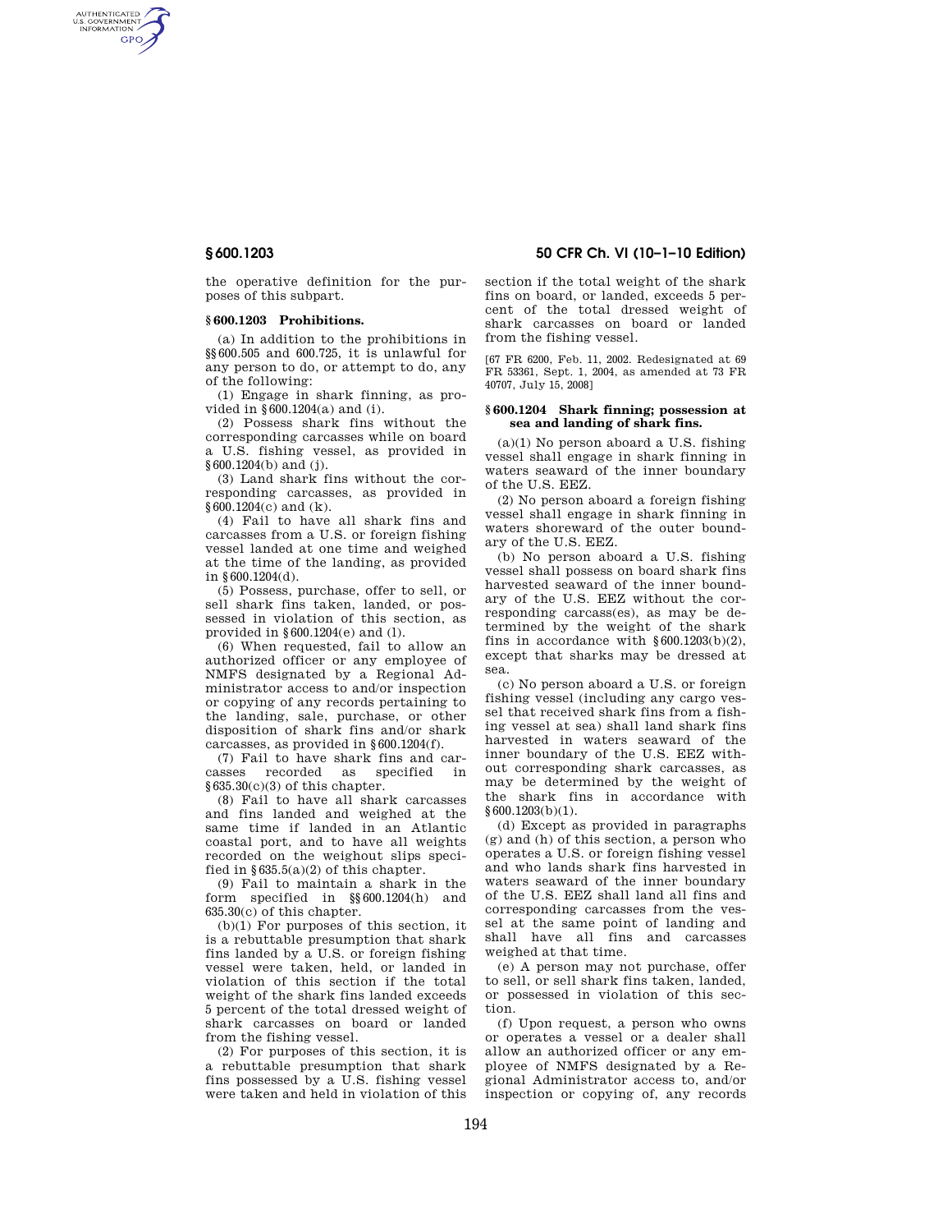AUTHENTICATED<br>U.S. GOVERNMENT<br>INFORMATION GPO

> the operative definition for the purposes of this subpart.

## **§ 600.1203 Prohibitions.**

(a) In addition to the prohibitions in §§600.505 and 600.725, it is unlawful for any person to do, or attempt to do, any of the following:

(1) Engage in shark finning, as provided in §600.1204(a) and (i).

(2) Possess shark fins without the corresponding carcasses while on board a U.S. fishing vessel, as provided in §600.1204(b) and (j).

(3) Land shark fins without the corresponding carcasses, as provided in §600.1204(c) and (k).

(4) Fail to have all shark fins and carcasses from a U.S. or foreign fishing vessel landed at one time and weighed at the time of the landing, as provided in §600.1204(d).

(5) Possess, purchase, offer to sell, or sell shark fins taken, landed, or possessed in violation of this section, as provided in §600.1204(e) and (l).

(6) When requested, fail to allow an authorized officer or any employee of NMFS designated by a Regional Administrator access to and/or inspection or copying of any records pertaining to the landing, sale, purchase, or other disposition of shark fins and/or shark carcasses, as provided in §600.1204(f).

(7) Fail to have shark fins and carcasses recorded as specified in §635.30(c)(3) of this chapter.

(8) Fail to have all shark carcasses and fins landed and weighed at the same time if landed in an Atlantic coastal port, and to have all weights recorded on the weighout slips specified in  $§635.5(a)(2)$  of this chapter.

(9) Fail to maintain a shark in the form specified in §§600.1204(h) and 635.30(c) of this chapter.

 $(b)(1)$  For purposes of this section, it is a rebuttable presumption that shark fins landed by a U.S. or foreign fishing vessel were taken, held, or landed in violation of this section if the total weight of the shark fins landed exceeds 5 percent of the total dressed weight of shark carcasses on board or landed from the fishing vessel.

(2) For purposes of this section, it is a rebuttable presumption that shark fins possessed by a U.S. fishing vessel were taken and held in violation of this

**§ 600.1203 50 CFR Ch. VI (10–1–10 Edition)** 

section if the total weight of the shark fins on board, or landed, exceeds 5 percent of the total dressed weight of shark carcasses on board or landed from the fishing vessel.

[67 FR 6200, Feb. 11, 2002. Redesignated at 69 FR 53361, Sept. 1, 2004, as amended at 73 FR 40707, July 15, 2008]

## **§ 600.1204 Shark finning; possession at sea and landing of shark fins.**

 $(a)(1)$  No person aboard a U.S. fishing vessel shall engage in shark finning in waters seaward of the inner boundary of the U.S. EEZ.

(2) No person aboard a foreign fishing vessel shall engage in shark finning in waters shoreward of the outer boundary of the U.S. EEZ.

(b) No person aboard a U.S. fishing vessel shall possess on board shark fins harvested seaward of the inner boundary of the U.S. EEZ without the corresponding carcass(es), as may be determined by the weight of the shark fins in accordance with  $§ 600.1203(b)(2)$ , except that sharks may be dressed at sea.

(c) No person aboard a U.S. or foreign fishing vessel (including any cargo vessel that received shark fins from a fishing vessel at sea) shall land shark fins harvested in waters seaward of the inner boundary of the U.S. EEZ without corresponding shark carcasses, as may be determined by the weight of the shark fins in accordance with §600.1203(b)(1).

(d) Except as provided in paragraphs (g) and (h) of this section, a person who operates a U.S. or foreign fishing vessel and who lands shark fins harvested in waters seaward of the inner boundary of the U.S. EEZ shall land all fins and corresponding carcasses from the vessel at the same point of landing and shall have all fins and carcasses weighed at that time.

(e) A person may not purchase, offer to sell, or sell shark fins taken, landed, or possessed in violation of this section.

(f) Upon request, a person who owns or operates a vessel or a dealer shall allow an authorized officer or any employee of NMFS designated by a Regional Administrator access to, and/or inspection or copying of, any records